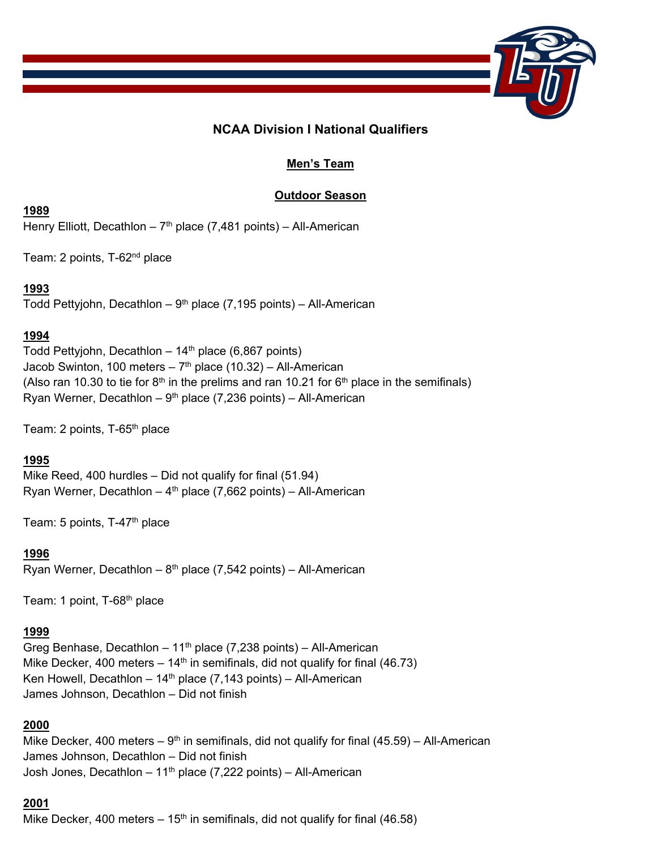

# **NCAA Division I National Qualifiers**

# **Men's Team**

## **Outdoor Season**

## **1989**

Henry Elliott, Decathlon -  $7<sup>th</sup>$  place (7,481 points) - All-American

Team: 2 points, T-62nd place

# **1993**

Todd Pettyjohn, Decathlon -  $9<sup>th</sup>$  place (7,195 points) - All-American

# **1994**

Todd Pettyjohn, Decathlon  $-14<sup>th</sup>$  place (6,867 points) Jacob Swinton, 100 meters -  $7<sup>th</sup>$  place (10.32) - All-American (Also ran 10.30 to tie for  $8<sup>th</sup>$  in the prelims and ran 10.21 for  $6<sup>th</sup>$  place in the semifinals) Ryan Werner, Decathlon –  $9<sup>th</sup>$  place (7,236 points) – All-American

Team: 2 points, T-65<sup>th</sup> place

# **1995**

Mike Reed, 400 hurdles – Did not qualify for final (51.94) Ryan Werner, Decathlon  $-4<sup>th</sup>$  place (7,662 points) – All-American

Team: 5 points, T-47th place

## **1996**

Ryan Werner, Decathlon –  $8<sup>th</sup>$  place (7,542 points) – All-American

Team: 1 point, T-68<sup>th</sup> place

## **1999**

Greg Benhase, Decathlon -  $11<sup>th</sup>$  place (7,238 points) - All-American Mike Decker, 400 meters  $-14$ <sup>th</sup> in semifinals, did not qualify for final (46.73) Ken Howell, Decathlon –  $14<sup>th</sup>$  place (7,143 points) – All-American James Johnson, Decathlon – Did not finish

## **2000**

Mike Decker, 400 meters –  $9<sup>th</sup>$  in semifinals, did not qualify for final (45.59) – All-American James Johnson, Decathlon – Did not finish Josh Jones, Decathlon  $-11<sup>th</sup>$  place (7,222 points) – All-American

## **2001**

Mike Decker, 400 meters  $-15<sup>th</sup>$  in semifinals, did not qualify for final (46.58)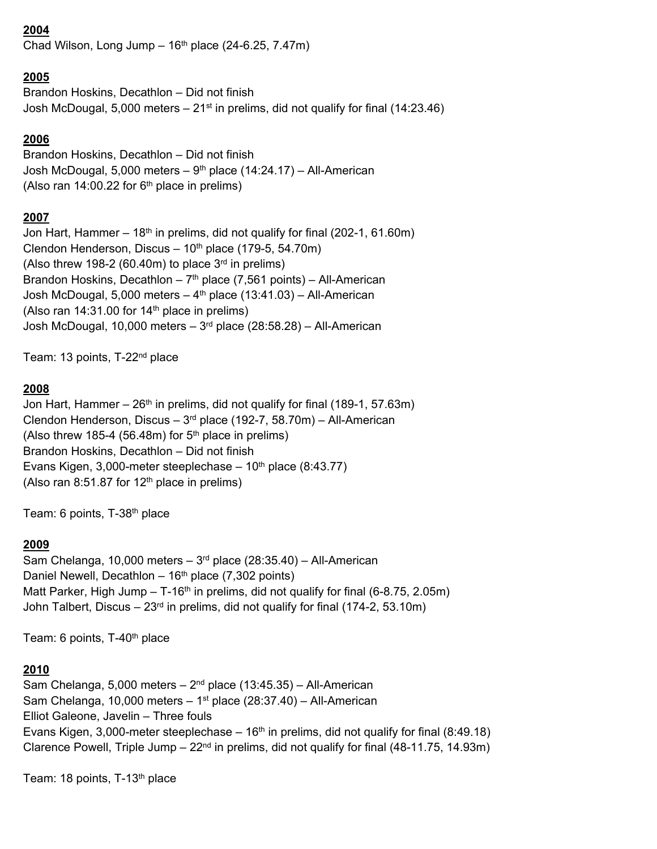## **2004**

Chad Wilson, Long Jump  $-16<sup>th</sup>$  place (24-6.25, 7.47m)

## **2005**

Brandon Hoskins, Decathlon – Did not finish Josh McDougal, 5,000 meters  $-21<sup>st</sup>$  in prelims, did not qualify for final (14:23.46)

### **2006**

Brandon Hoskins, Decathlon – Did not finish Josh McDougal, 5,000 meters  $-9<sup>th</sup>$  place (14:24.17) – All-American (Also ran  $14:00.22$  for  $6<sup>th</sup>$  place in prelims)

### **2007**

Jon Hart, Hammer  $-18<sup>th</sup>$  in prelims, did not qualify for final (202-1, 61.60m) Clendon Henderson, Discus  $-10^{th}$  place (179-5, 54.70m) (Also threw 198-2 (60.40m) to place  $3<sup>rd</sup>$  in prelims) Brandon Hoskins, Decathlon –  $7<sup>th</sup>$  place (7,561 points) – All-American Josh McDougal, 5,000 meters  $-4<sup>th</sup>$  place (13:41.03) – All-American (Also ran 14:31.00 for 14<sup>th</sup> place in prelims) Josh McDougal, 10,000 meters  $-3<sup>rd</sup>$  place (28:58.28) – All-American

Team: 13 points, T-22<sup>nd</sup> place

### **2008**

Jon Hart, Hammer  $-26$ <sup>th</sup> in prelims, did not qualify for final (189-1, 57.63m) Clendon Henderson, Discus -  $3<sup>rd</sup>$  place (192-7, 58.70m) - All-American (Also threw 185-4 (56.48m) for  $5<sup>th</sup>$  place in prelims) Brandon Hoskins, Decathlon – Did not finish Evans Kigen, 3,000-meter steeplechase  $-10<sup>th</sup>$  place (8:43.77) (Also ran 8:51.87 for  $12<sup>th</sup>$  place in prelims)

Team: 6 points, T-38<sup>th</sup> place

### **2009**

Sam Chelanga, 10,000 meters  $-3<sup>rd</sup>$  place (28:35.40) – All-American Daniel Newell, Decathlon –  $16<sup>th</sup>$  place (7,302 points) Matt Parker, High Jump  $- T$ -16<sup>th</sup> in prelims, did not qualify for final (6-8.75, 2.05m) John Talbert, Discus  $-23$ <sup>rd</sup> in prelims, did not qualify for final (174-2, 53.10m)

Team: 6 points, T-40<sup>th</sup> place

### **2010**

Sam Chelanga, 5,000 meters  $-2<sup>nd</sup>$  place (13:45.35) – All-American Sam Chelanga, 10,000 meters  $-1$ <sup>st</sup> place (28:37.40) – All-American Elliot Galeone, Javelin – Three fouls Evans Kigen, 3,000-meter steeplechase –  $16<sup>th</sup>$  in prelims, did not qualify for final (8:49.18) Clarence Powell, Triple Jump  $-22<sup>nd</sup>$  in prelims, did not qualify for final (48-11.75, 14.93m)

Team: 18 points, T-13th place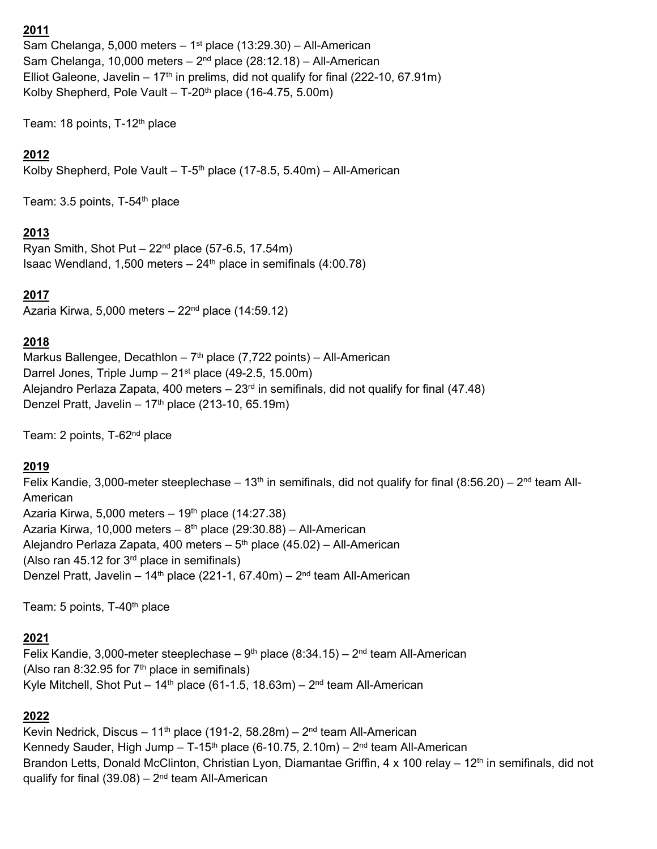## **2011**

Sam Chelanga, 5,000 meters  $-1<sup>st</sup>$  place (13:29.30) – All-American Sam Chelanga, 10,000 meters  $-2<sup>nd</sup>$  place (28:12.18) – All-American Elliot Galeone, Javelin –  $17<sup>th</sup>$  in prelims, did not qualify for final (222-10, 67.91m) Kolby Shepherd, Pole Vault –  $T-20<sup>th</sup>$  place (16-4.75, 5.00m)

Team: 18 points, T-12th place

## **2012**

Kolby Shepherd, Pole Vault – T-5<sup>th</sup> place (17-8.5, 5.40m) – All-American

Team: 3.5 points, T-54<sup>th</sup> place

## **2013**

Ryan Smith, Shot Put  $-22<sup>nd</sup>$  place (57-6.5, 17.54m) Isaac Wendland, 1,500 meters  $-24<sup>th</sup>$  place in semifinals (4:00.78)

## **2017**

Azaria Kirwa,  $5,000$  meters  $-22<sup>nd</sup>$  place (14:59.12)

## **2018**

Markus Ballengee, Decathlon –  $7<sup>th</sup>$  place (7,722 points) – All-American Darrel Jones, Triple Jump  $-21<sup>st</sup>$  place (49-2.5, 15.00m) Alejandro Perlaza Zapata, 400 meters  $-23<sup>rd</sup>$  in semifinals, did not qualify for final (47.48) Denzel Pratt, Javelin –  $17<sup>th</sup>$  place (213-10, 65.19m)

Team: 2 points, T-62<sup>nd</sup> place

### **2019**

Felix Kandie, 3,000-meter steeplechase – 13<sup>th</sup> in semifinals, did not qualify for final (8:56.20) – 2<sup>nd</sup> team All-American Azaria Kirwa, 5,000 meters –  $19<sup>th</sup>$  place (14:27.38) Azaria Kirwa, 10,000 meters –  $8<sup>th</sup>$  place (29:30.88) – All-American Alejandro Perlaza Zapata, 400 meters –  $5<sup>th</sup>$  place (45.02) – All-American (Also ran 45.12 for  $3<sup>rd</sup>$  place in semifinals) Denzel Pratt, Javelin –  $14<sup>th</sup>$  place (221-1, 67.40m) –  $2<sup>nd</sup>$  team All-American

Team: 5 points, T-40<sup>th</sup> place

### **2021**

Felix Kandie, 3,000-meter steeplechase –  $9<sup>th</sup>$  place (8:34.15) –  $2<sup>nd</sup>$  team All-American (Also ran 8:32.95 for  $7<sup>th</sup>$  place in semifinals) Kyle Mitchell, Shot Put –  $14<sup>th</sup>$  place (61-1.5, 18.63m) –  $2<sup>nd</sup>$  team All-American

### **2022**

Kevin Nedrick, Discus – 11<sup>th</sup> place (191-2, 58.28m) – 2<sup>nd</sup> team All-American Kennedy Sauder, High Jump - T-15<sup>th</sup> place (6-10.75, 2.10m) -  $2<sup>nd</sup>$  team All-American Brandon Letts, Donald McClinton, Christian Lyon, Diamantae Griffin, 4 x 100 relay – 12<sup>th</sup> in semifinals, did not qualify for final  $(39.08) - 2<sup>nd</sup>$  team All-American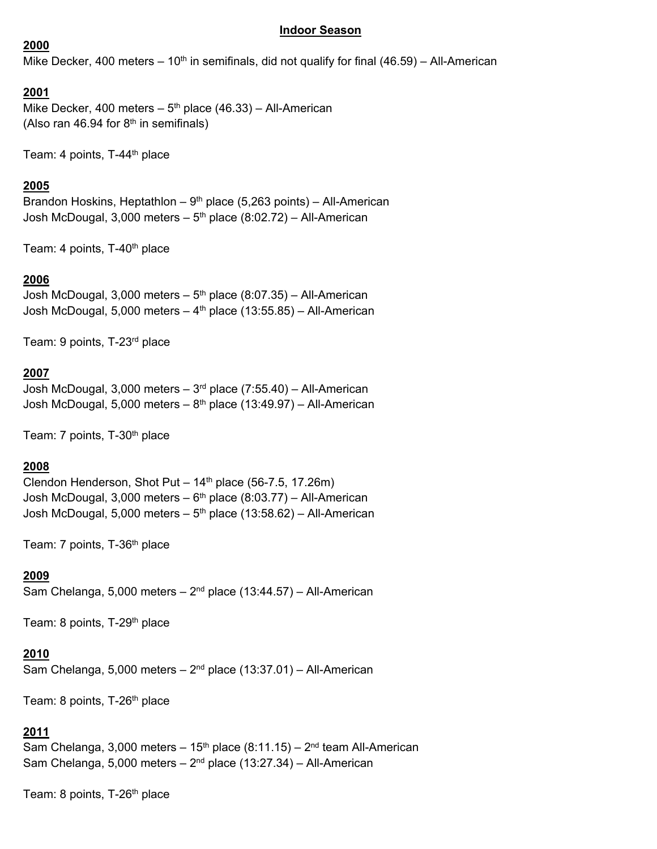#### **Indoor Season**

#### **2000**

Mike Decker, 400 meters – 10<sup>th</sup> in semifinals, did not qualify for final (46.59) – All-American

#### **2001**

Mike Decker, 400 meters  $-5<sup>th</sup>$  place (46.33) – All-American (Also ran 46.94 for  $8<sup>th</sup>$  in semifinals)

Team: 4 points, T-44<sup>th</sup> place

#### **2005**

Brandon Hoskins, Heptathlon –  $9<sup>th</sup>$  place (5,263 points) – All-American Josh McDougal,  $3,000$  meters –  $5<sup>th</sup>$  place (8:02.72) – All-American

Team: 4 points, T-40<sup>th</sup> place

#### **2006**

Josh McDougal,  $3,000$  meters  $-5$ <sup>th</sup> place (8:07.35) – All-American Josh McDougal, 5,000 meters  $-4$ <sup>th</sup> place (13:55.85) – All-American

Team: 9 points, T-23rd place

#### **2007**

Josh McDougal, 3,000 meters – 3rd place (7:55.40) – All-American Josh McDougal, 5,000 meters  $-8$ <sup>th</sup> place (13:49.97) – All-American

Team: 7 points, T-30<sup>th</sup> place

#### **2008**

Clendon Henderson, Shot Put  $-14<sup>th</sup>$  place (56-7.5, 17.26m) Josh McDougal,  $3,000$  meters –  $6<sup>th</sup>$  place (8:03.77) – All-American Josh McDougal, 5,000 meters –  $5<sup>th</sup>$  place (13:58.62) – All-American

Team: 7 points, T-36th place

#### **2009**

Sam Chelanga, 5,000 meters  $-2<sup>nd</sup>$  place (13:44.57) – All-American

Team: 8 points, T-29<sup>th</sup> place

#### **2010**

Sam Chelanga, 5,000 meters  $-2<sup>nd</sup>$  place (13:37.01) – All-American

Team: 8 points, T-26<sup>th</sup> place

## **2011**

Sam Chelanga, 3,000 meters  $-15<sup>th</sup>$  place (8:11.15) –  $2<sup>nd</sup>$  team All-American Sam Chelanga, 5,000 meters  $-2<sup>nd</sup>$  place (13:27.34) – All-American

Team: 8 points, T-26<sup>th</sup> place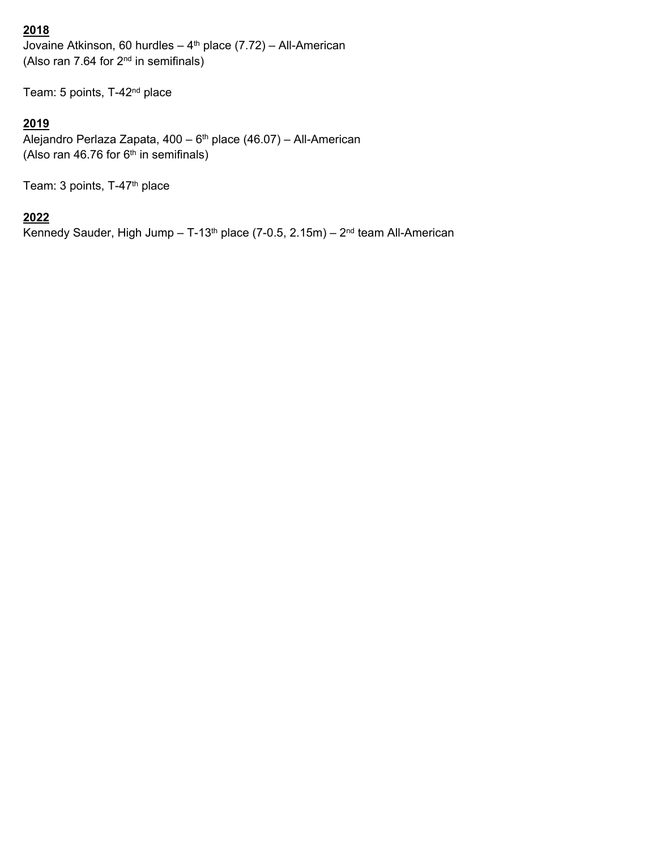# **2018**

Jovaine Atkinson, 60 hurdles  $-$  4<sup>th</sup> place (7.72) – All-American (Also ran 7.64 for  $2<sup>nd</sup>$  in semifinals)

Team: 5 points, T-42<sup>nd</sup> place

# **2019**

Alejandro Perlaza Zapata,  $400 - 6$ <sup>th</sup> place (46.07) – All-American (Also ran 46.76 for  $6<sup>th</sup>$  in semifinals)

Team: 3 points, T-47<sup>th</sup> place

## **2022**

Kennedy Sauder, High Jump - T-13<sup>th</sup> place (7-0.5, 2.15m) -  $2<sup>nd</sup>$  team All-American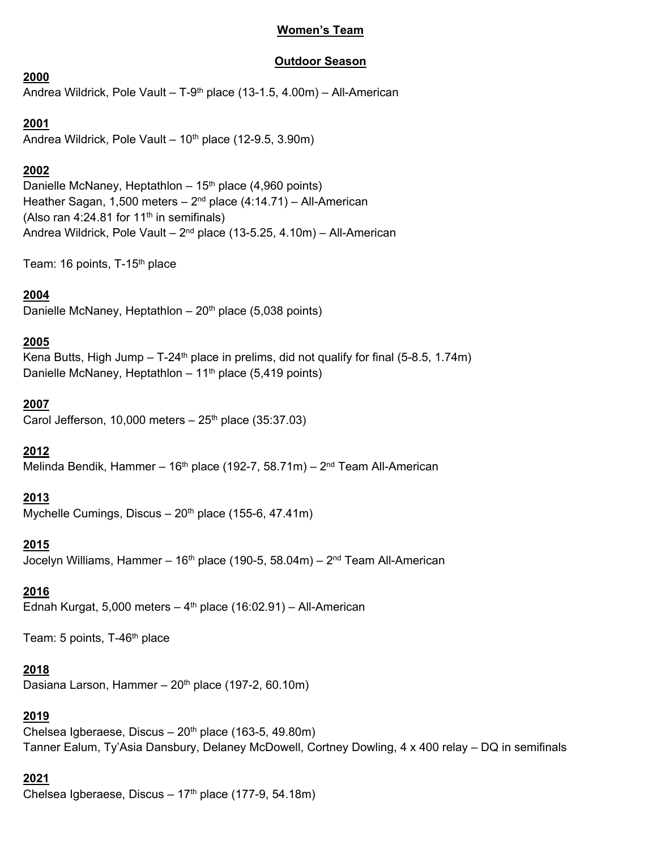## **Women's Team**

## **Outdoor Season**

**2000** 

Andrea Wildrick, Pole Vault – T-9th place (13-1.5, 4.00m) – All-American

## **2001**

Andrea Wildrick, Pole Vault  $-10^{th}$  place (12-9.5, 3.90m)

## **2002**

Danielle McNaney, Heptathlon  $-15<sup>th</sup>$  place (4,960 points) Heather Sagan, 1,500 meters  $-2<sup>nd</sup>$  place (4:14.71) – All-American (Also ran 4:24.81 for 11<sup>th</sup> in semifinals) Andrea Wildrick, Pole Vault –  $2^{nd}$  place (13-5.25, 4.10m) – All-American

Team: 16 points, T-15<sup>th</sup> place

## **2004**

Danielle McNaney, Heptathlon  $-20<sup>th</sup>$  place (5,038 points)

## **2005**

Kena Butts, High Jump  $-$  T-24<sup>th</sup> place in prelims, did not qualify for final (5-8.5, 1.74m) Danielle McNaney, Heptathlon –  $11<sup>th</sup>$  place (5,419 points)

## **2007**

Carol Jefferson, 10,000 meters  $-25<sup>th</sup>$  place (35:37.03)

## **2012**

Melinda Bendik, Hammer – 16<sup>th</sup> place (192-7, 58.71m) – 2<sup>nd</sup> Team All-American

## **2013**

Mychelle Cumings, Discus –  $20<sup>th</sup>$  place (155-6, 47.41m)

### **2015**

Jocelyn Williams, Hammer –  $16<sup>th</sup>$  place (190-5, 58.04m) –  $2<sup>nd</sup>$  Team All-American

### **2016**

Ednah Kurgat, 5,000 meters  $-4$ <sup>th</sup> place (16:02.91) – All-American

Team: 5 points, T-46<sup>th</sup> place

### **2018**

Dasiana Larson, Hammer  $-20<sup>th</sup>$  place (197-2, 60.10m)

## **2019**

Chelsea Igberaese, Discus –  $20<sup>th</sup>$  place (163-5, 49.80m) Tanner Ealum, Ty'Asia Dansbury, Delaney McDowell, Cortney Dowling, 4 x 400 relay – DQ in semifinals

## **2021**

Chelsea Igberaese, Discus –  $17<sup>th</sup>$  place (177-9, 54.18m)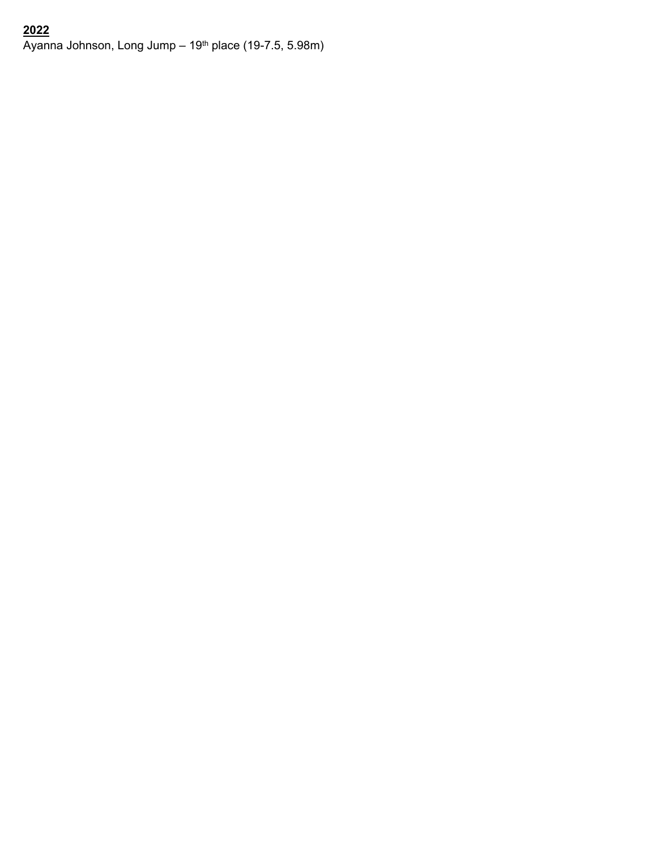# **2022**   $\overline{A}$ yanna Johnson, Long Jump – 19<sup>th</sup> place (19-7.5, 5.98m)